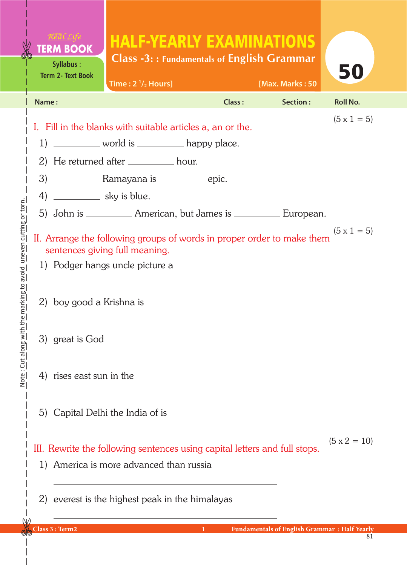|                                                                                                                                                                   | <b>TERM BOOK</b><br>Syllabus:<br><b>Term 2- Text Book</b> | <b>HALF-YEARLY EXAMINATIONS</b><br><b>Class -3:: Fundamentals of English Grammar</b><br>Time: $2 \frac{1}{2}$ Hours] |                     |        | [Max. Marks: 50                                      | 50                 |  |  |  |
|-------------------------------------------------------------------------------------------------------------------------------------------------------------------|-----------------------------------------------------------|----------------------------------------------------------------------------------------------------------------------|---------------------|--------|------------------------------------------------------|--------------------|--|--|--|
| Name:                                                                                                                                                             |                                                           |                                                                                                                      |                     | Class: | Section:                                             | <b>Roll No.</b>    |  |  |  |
|                                                                                                                                                                   |                                                           | I. Fill in the blanks with suitable articles a, an or the.                                                           |                     |        |                                                      | $(5 \times 1 = 5)$ |  |  |  |
|                                                                                                                                                                   | 1) ___________ world is ___________ happy place.          |                                                                                                                      |                     |        |                                                      |                    |  |  |  |
|                                                                                                                                                                   | 2) He returned after _________ hour.                      |                                                                                                                      |                     |        |                                                      |                    |  |  |  |
|                                                                                                                                                                   |                                                           |                                                                                                                      |                     |        |                                                      |                    |  |  |  |
|                                                                                                                                                                   | 4) _____________ sky is blue.                             |                                                                                                                      |                     |        |                                                      |                    |  |  |  |
|                                                                                                                                                                   |                                                           | 5) John is ____________ American, but James is ___________ European.                                                 |                     |        |                                                      |                    |  |  |  |
| $(5 \times 1 = 5)$<br>II. Arrange the following groups of words in proper order to make them<br>sentences giving full meaning.<br>1) Podger hangs uncle picture a |                                                           |                                                                                                                      |                     |        |                                                      |                    |  |  |  |
|                                                                                                                                                                   |                                                           |                                                                                                                      |                     |        |                                                      |                    |  |  |  |
| 2)                                                                                                                                                                | boy good a Krishna is                                     |                                                                                                                      |                     |        |                                                      |                    |  |  |  |
|                                                                                                                                                                   | 3) great is God                                           |                                                                                                                      |                     |        |                                                      |                    |  |  |  |
| 4)                                                                                                                                                                | rises east sun in the                                     |                                                                                                                      |                     |        |                                                      |                    |  |  |  |
| 5)                                                                                                                                                                | Capital Delhi the India of is                             |                                                                                                                      |                     |        |                                                      |                    |  |  |  |
|                                                                                                                                                                   |                                                           | III. Rewrite the following sentences using capital letters and full stops.                                           | $(5 \times 2 = 10)$ |        |                                                      |                    |  |  |  |
| 1)                                                                                                                                                                | America is more advanced than russia                      |                                                                                                                      |                     |        |                                                      |                    |  |  |  |
| 2)                                                                                                                                                                |                                                           | everest is the highest peak in the himalayas                                                                         |                     |        |                                                      |                    |  |  |  |
|                                                                                                                                                                   | Class 3 : Term2                                           |                                                                                                                      |                     |        | <b>Fundamentals of English Grammar : Half Yearly</b> |                    |  |  |  |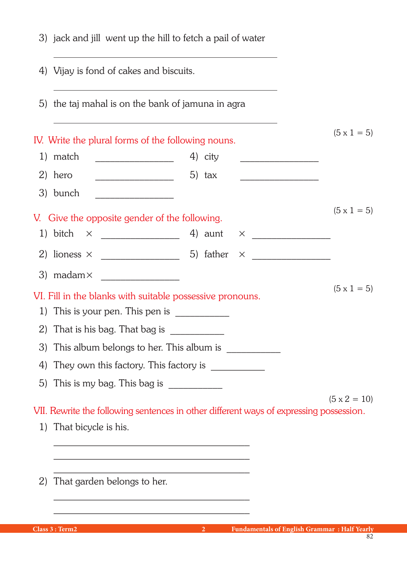|    | 3) jack and jill went up the hill to fetch a pail of water<br>4) Vijay is fond of cakes and biscuits.<br>5) the taj mahal is on the bank of jamuna in agra |  |                 |  |  |  |  |                     |
|----|------------------------------------------------------------------------------------------------------------------------------------------------------------|--|-----------------|--|--|--|--|---------------------|
|    |                                                                                                                                                            |  |                 |  |  |  |  |                     |
|    |                                                                                                                                                            |  |                 |  |  |  |  |                     |
|    | IV. Write the plural forms of the following nouns.                                                                                                         |  |                 |  |  |  |  | $(5 \times 1 = 5)$  |
|    | 1) match                                                                                                                                                   |  | 4) city         |  |  |  |  |                     |
|    | 2) hero                                                                                                                                                    |  | 5) $\text{tax}$ |  |  |  |  |                     |
|    | 3) bunch                                                                                                                                                   |  |                 |  |  |  |  |                     |
|    |                                                                                                                                                            |  |                 |  |  |  |  | $(5 \times 1 = 5)$  |
|    | V. Give the opposite gender of the following.                                                                                                              |  |                 |  |  |  |  |                     |
|    |                                                                                                                                                            |  |                 |  |  |  |  |                     |
|    |                                                                                                                                                            |  |                 |  |  |  |  |                     |
|    |                                                                                                                                                            |  |                 |  |  |  |  |                     |
|    | VI. Fill in the blanks with suitable possessive pronouns.                                                                                                  |  |                 |  |  |  |  | $(5 \times 1 = 5)$  |
|    | 1) This is your pen. This pen is $\frac{1}{\sqrt{1-\frac{1}{2}}}\left  \frac{1}{\sqrt{1-\frac{1}{2}}}\right $                                              |  |                 |  |  |  |  |                     |
|    | 2) That is his bag. That bag is $\frac{1}{2}$                                                                                                              |  |                 |  |  |  |  |                     |
|    | 3) This album belongs to her. This album is ___________                                                                                                    |  |                 |  |  |  |  |                     |
| 4) |                                                                                                                                                            |  |                 |  |  |  |  |                     |
| 5) |                                                                                                                                                            |  |                 |  |  |  |  |                     |
|    |                                                                                                                                                            |  |                 |  |  |  |  | $(5 \times 2 = 10)$ |
|    | VII. Rewrite the following sentences in other different ways of expressing possession.                                                                     |  |                 |  |  |  |  |                     |
|    | 1) That bicycle is his.                                                                                                                                    |  |                 |  |  |  |  |                     |
|    |                                                                                                                                                            |  |                 |  |  |  |  |                     |
|    |                                                                                                                                                            |  |                 |  |  |  |  |                     |
| 2) | That garden belongs to her.                                                                                                                                |  |                 |  |  |  |  |                     |
|    |                                                                                                                                                            |  |                 |  |  |  |  |                     |
|    |                                                                                                                                                            |  |                 |  |  |  |  |                     |

82